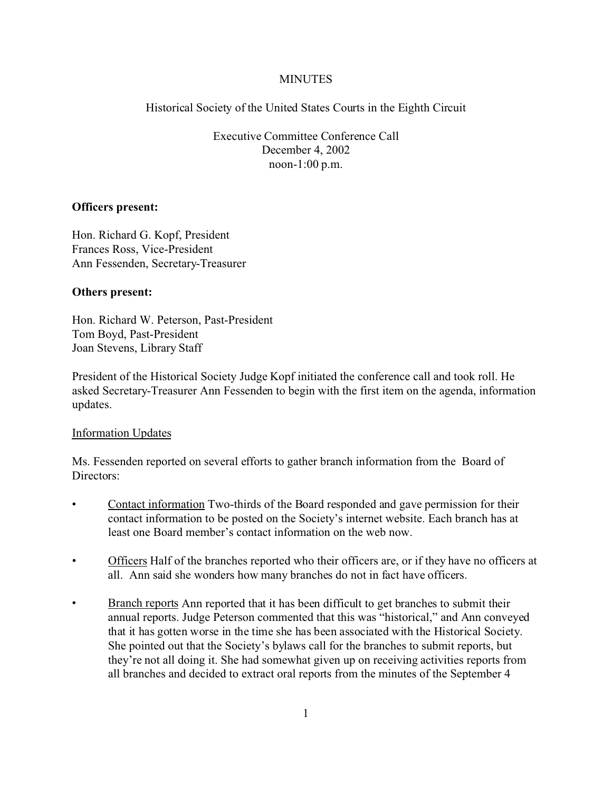# **MINUTES**

Historical Society of the United States Courts in the Eighth Circuit

Executive Committee Conference Call December 4, 2002 noon-1:00 p.m.

## **Officers present:**

Hon. Richard G. Kopf, President Frances Ross, Vice-President Ann Fessenden, Secretary-Treasurer

## **Others present:**

Hon. Richard W. Peterson, Past-President Tom Boyd, Past-President Joan Stevens, Library Staff

President of the Historical Society Judge Kopf initiated the conference call and took roll. He asked Secretary-Treasurer Ann Fessenden to begin with the first item on the agenda, information updates.

# Information Updates

Ms. Fessenden reported on several efforts to gather branch information from the Board of Directors:

- Contact information Two-thirds of the Board responded and gave permission for their contact information to be posted on the Society's internet website. Each branch has at least one Board member's contact information on the web now.
- Officers Half of the branches reported who their officers are, or if they have no officers at all. Ann said she wonders how many branches do not in fact have officers.
- Branch reports Ann reported that it has been difficult to get branches to submit their annual reports. Judge Peterson commented that this was "historical," and Ann conveyed that it has gotten worse in the time she has been associated with the Historical Society. She pointed out that the Society's bylaws call for the branches to submit reports, but they're not all doing it. She had somewhat given up on receiving activities reports from all branches and decided to extract oral reports from the minutes of the September 4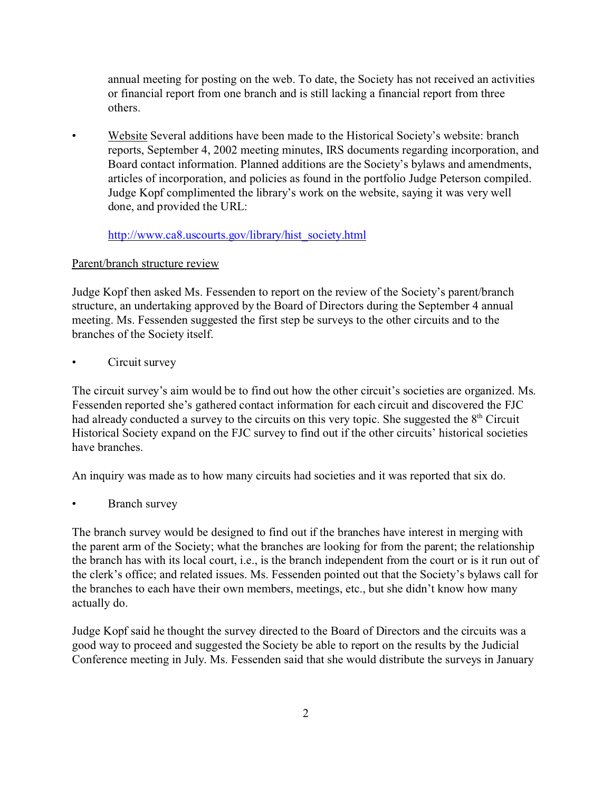annual meeting for posting on the web. To date, the Society has not received an activities or financial report from one branch and is still lacking a financial report from three others.

• Website Several additions have been made to the Historical Society's website: branch reports, September 4, 2002 meeting minutes, IRS documents regarding incorporation, and Board contact information. Planned additions are the Society's bylaws and amendments, articles of incorporation, and policies as found in the portfolio Judge Peterson compiled. Judge Kopf complimented the library's work on the website, saying it was very well done, and provided the URL:

[http://www.ca8.uscourts.gov/library/hist\\_society.html](http://www.ca8.uscourts.gov/library/hist_society.html)

# Parent/branch structure review

Judge Kopf then asked Ms. Fessenden to report on the review of the Society's parent/branch structure, an undertaking approved by the Board of Directors during the September 4 annual meeting. Ms. Fessenden suggested the first step be surveys to the other circuits and to the branches of the Society itself.

Circuit survey

The circuit survey's aim would be to find out how the other circuit's societies are organized. Ms. Fessenden reported she's gathered contact information for each circuit and discovered the FJC had already conducted a survey to the circuits on this very topic. She suggested the  $8<sup>th</sup>$  Circuit Historical Society expand on the FJC survey to find out if the other circuits' historical societies have branches.

An inquiry was made as to how many circuits had societies and it was reported that six do.

Branch survey

The branch survey would be designed to find out if the branches have interest in merging with the parent arm of the Society; what the branches are looking for from the parent; the relationship the branch has with its local court, i.e., is the branch independent from the court or is it run out of the clerk's office; and related issues. Ms. Fessenden pointed out that the Society's bylaws call for the branches to each have their own members, meetings, etc., but she didn't know how many actually do.

Judge Kopf said he thought the survey directed to the Board of Directors and the circuits was a good way to proceed and suggested the Society be able to report on the results by the Judicial Conference meeting in July. Ms. Fessenden said that she would distribute the surveys in January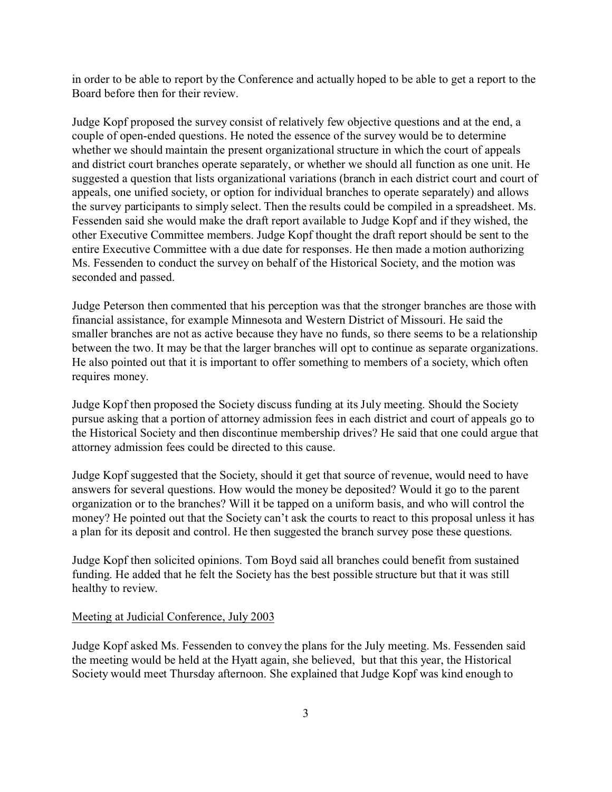in order to be able to report by the Conference and actually hoped to be able to get a report to the Board before then for their review.

Judge Kopf proposed the survey consist of relatively few objective questions and at the end, a couple of open-ended questions. He noted the essence of the survey would be to determine whether we should maintain the present organizational structure in which the court of appeals and district court branches operate separately, or whether we should all function as one unit. He suggested a question that lists organizational variations (branch in each district court and court of appeals, one unified society, or option for individual branches to operate separately) and allows the survey participants to simply select. Then the results could be compiled in a spreadsheet. Ms. Fessenden said she would make the draft report available to Judge Kopf and if they wished, the other Executive Committee members. Judge Kopf thought the draft report should be sent to the entire Executive Committee with a due date for responses. He then made a motion authorizing Ms. Fessenden to conduct the survey on behalf of the Historical Society, and the motion was seconded and passed.

Judge Peterson then commented that his perception was that the stronger branches are those with financial assistance, for example Minnesota and Western District of Missouri. He said the smaller branches are not as active because they have no funds, so there seems to be a relationship between the two. It may be that the larger branches will opt to continue as separate organizations. He also pointed out that it is important to offer something to members of a society, which often requires money.

Judge Kopf then proposed the Society discuss funding at its July meeting. Should the Society pursue asking that a portion of attorney admission fees in each district and court of appeals go to the Historical Society and then discontinue membership drives? He said that one could argue that attorney admission fees could be directed to this cause.

Judge Kopf suggested that the Society, should it get that source of revenue, would need to have answers for several questions. How would the money be deposited? Would it go to the parent organization or to the branches? Will it be tapped on a uniform basis, and who will control the money? He pointed out that the Society can't ask the courts to react to this proposal unless it has a plan for its deposit and control. He then suggested the branch survey pose these questions.

Judge Kopf then solicited opinions. Tom Boyd said all branches could benefit from sustained funding. He added that he felt the Society has the best possible structure but that it was still healthy to review.

### Meeting at Judicial Conference, July 2003

Judge Kopf asked Ms. Fessenden to convey the plans for the July meeting. Ms. Fessenden said the meeting would be held at the Hyatt again, she believed, but that this year, the Historical Society would meet Thursday afternoon. She explained that Judge Kopf was kind enough to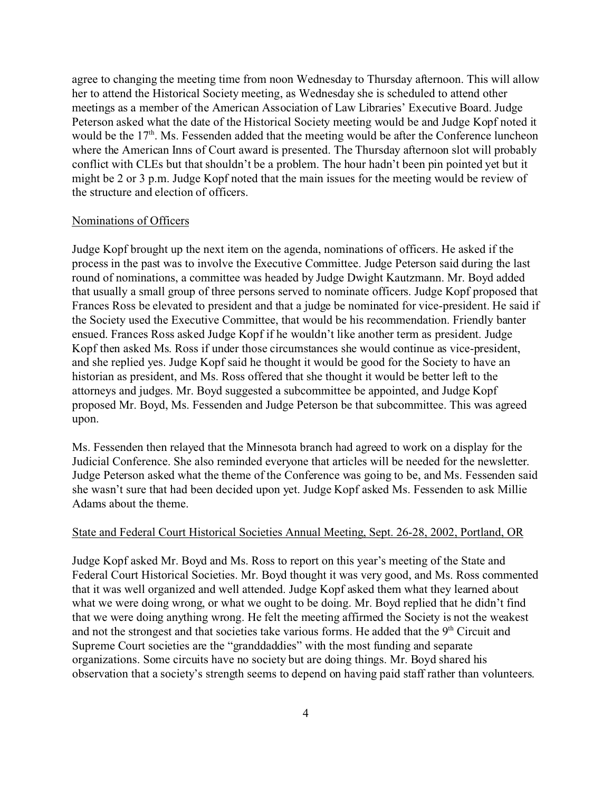agree to changing the meeting time from noon Wednesday to Thursday afternoon. This will allow her to attend the Historical Society meeting, as Wednesday she is scheduled to attend other meetings as a member of the American Association of Law Libraries' Executive Board. Judge Peterson asked what the date of the Historical Society meeting would be and Judge Kopf noted it would be the 17<sup>th</sup>. Ms. Fessenden added that the meeting would be after the Conference luncheon where the American Inns of Court award is presented. The Thursday afternoon slot will probably conflict with CLEs but that shouldn't be a problem. The hour hadn't been pin pointed yet but it might be 2 or 3 p.m. Judge Kopf noted that the main issues for the meeting would be review of the structure and election of officers.

#### Nominations of Officers

Judge Kopf brought up the next item on the agenda, nominations of officers. He asked if the process in the past was to involve the Executive Committee. Judge Peterson said during the last round of nominations, a committee was headed by Judge Dwight Kautzmann. Mr. Boyd added that usually a small group of three persons served to nominate officers. Judge Kopf proposed that Frances Ross be elevated to president and that a judge be nominated for vice-president. He said if the Society used the Executive Committee, that would be his recommendation. Friendly banter ensued. Frances Ross asked Judge Kopf if he wouldn't like another term as president. Judge Kopf then asked Ms. Ross if under those circumstances she would continue as vice-president, and she replied yes. Judge Kopf said he thought it would be good for the Society to have an historian as president, and Ms. Ross offered that she thought it would be better left to the attorneys and judges. Mr. Boyd suggested a subcommittee be appointed, and Judge Kopf proposed Mr. Boyd, Ms. Fessenden and Judge Peterson be that subcommittee. This was agreed upon.

Ms. Fessenden then relayed that the Minnesota branch had agreed to work on a display for the Judicial Conference. She also reminded everyone that articles will be needed for the newsletter. Judge Peterson asked what the theme of the Conference was going to be, and Ms. Fessenden said she wasn't sure that had been decided upon yet. Judge Kopf asked Ms. Fessenden to ask Millie Adams about the theme.

### State and Federal Court Historical Societies Annual Meeting, Sept. 26-28, 2002, Portland, OR

Judge Kopf asked Mr. Boyd and Ms. Ross to report on this year's meeting of the State and Federal Court Historical Societies. Mr. Boyd thought it was very good, and Ms. Ross commented that it was well organized and well attended. Judge Kopf asked them what they learned about what we were doing wrong, or what we ought to be doing. Mr. Boyd replied that he didn't find that we were doing anything wrong. He felt the meeting affirmed the Society is not the weakest and not the strongest and that societies take various forms. He added that the  $9<sup>th</sup>$  Circuit and Supreme Court societies are the "granddaddies" with the most funding and separate organizations. Some circuits have no society but are doing things. Mr. Boyd shared his observation that a society's strength seems to depend on having paid staff rather than volunteers.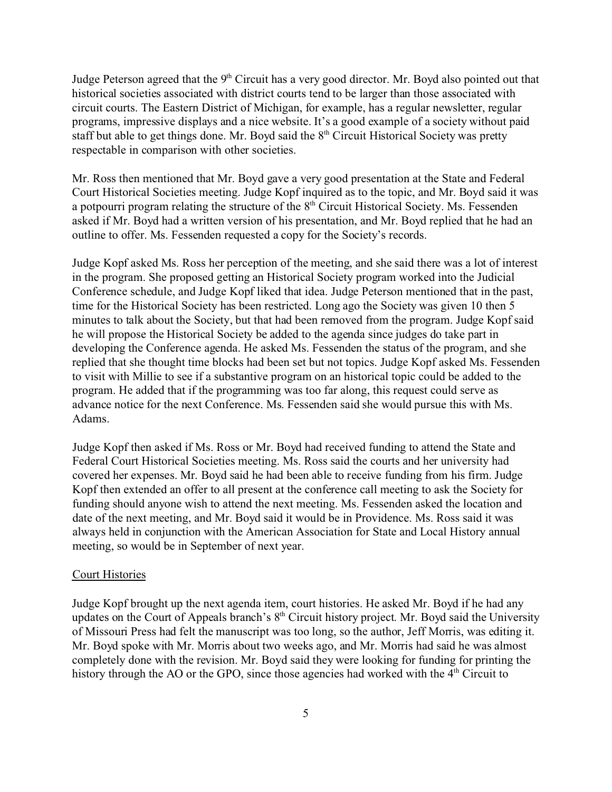Judge Peterson agreed that the  $9<sup>th</sup>$  Circuit has a very good director. Mr. Boyd also pointed out that historical societies associated with district courts tend to be larger than those associated with circuit courts. The Eastern District of Michigan, for example, has a regular newsletter, regular programs, impressive displays and a nice website. It's a good example of a society without paid staff but able to get things done. Mr. Boyd said the  $8<sup>th</sup>$  Circuit Historical Society was pretty respectable in comparison with other societies.

Mr. Ross then mentioned that Mr. Boyd gave a very good presentation at the State and Federal Court Historical Societies meeting. Judge Kopf inquired as to the topic, and Mr. Boyd said it was a potpourri program relating the structure of the  $8<sup>th</sup>$  Circuit Historical Society. Ms. Fessenden asked if Mr. Boyd had a written version of his presentation, and Mr. Boyd replied that he had an outline to offer. Ms. Fessenden requested a copy for the Society's records.

Judge Kopf asked Ms. Ross her perception of the meeting, and she said there was a lot of interest in the program. She proposed getting an Historical Society program worked into the Judicial Conference schedule, and Judge Kopf liked that idea. Judge Peterson mentioned that in the past, time for the Historical Society has been restricted. Long ago the Society was given 10 then 5 minutes to talk about the Society, but that had been removed from the program. Judge Kopf said he will propose the Historical Society be added to the agenda since judges do take part in developing the Conference agenda. He asked Ms. Fessenden the status of the program, and she replied that she thought time blocks had been set but not topics. Judge Kopf asked Ms. Fessenden to visit with Millie to see if a substantive program on an historical topic could be added to the program. He added that if the programming was too far along, this request could serve as advance notice for the next Conference. Ms. Fessenden said she would pursue this with Ms. Adams.

Judge Kopf then asked if Ms. Ross or Mr. Boyd had received funding to attend the State and Federal Court Historical Societies meeting. Ms. Ross said the courts and her university had covered her expenses. Mr. Boyd said he had been able to receive funding from his firm. Judge Kopf then extended an offer to all present at the conference call meeting to ask the Society for funding should anyone wish to attend the next meeting. Ms. Fessenden asked the location and date of the next meeting, and Mr. Boyd said it would be in Providence. Ms. Ross said it was always held in conjunction with the American Association for State and Local History annual meeting, so would be in September of next year.

### Court Histories

Judge Kopf brought up the next agenda item, court histories. He asked Mr. Boyd if he had any updates on the Court of Appeals branch's  $8<sup>th</sup>$  Circuit history project. Mr. Boyd said the University of Missouri Press had felt the manuscript was too long, so the author, Jeff Morris, was editing it. Mr. Boyd spoke with Mr. Morris about two weeks ago, and Mr. Morris had said he was almost completely done with the revision. Mr. Boyd said they were looking for funding for printing the history through the AO or the GPO, since those agencies had worked with the  $4<sup>th</sup>$  Circuit to